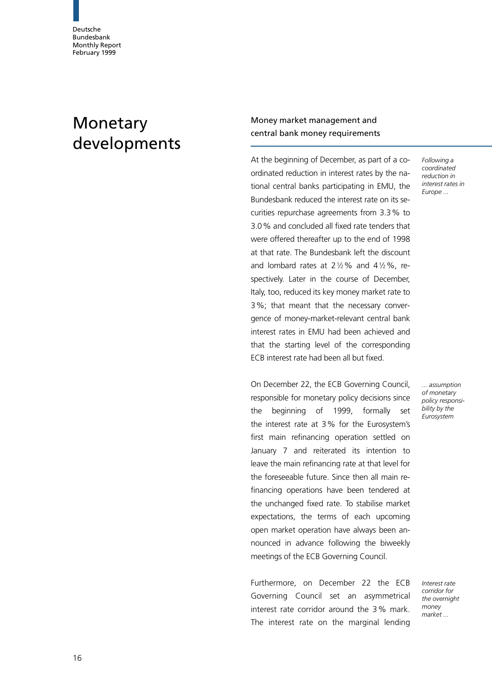# Monetary developments

Money market management and central bank money requirements

At the beginning of December, as part of a coordinated reduction in interest rates by the national central banks participating in EMU, the Bundesbank reduced the interest rate on its securities repurchase agreements from 3.3% to 3.0% and concluded all fixed rate tenders that were offered thereafter up to the end of 1998 at that rate. The Bundesbank left the discount and lombard rates at  $2\frac{1}{2}\%$  and  $4\frac{1}{2}\%$ , respectively. Later in the course of December, Italy, too, reduced its key money market rate to 3%; that meant that the necessary convergence of money-market-relevant central bank interest rates in EMU had been achieved and that the starting level of the corresponding ECB interest rate had been all but fixed.

On December 22, the ECB Governing Council, responsible for monetary policy decisions since the beginning of 1999, formally set the interest rate at 3% for the Eurosystem's first main refinancing operation settled on January 7 and reiterated its intention to leave the main refinancing rate at that level for the foreseeable future. Since then all main refinancing operations have been tendered at the unchanged fixed rate. To stabilise market expectations, the terms of each upcoming open market operation have always been announced in advance following the biweekly meetings of the ECB Governing Council.

Furthermore, on December 22 the ECB Governing Council set an asymmetrical interest rate corridor around the 3% mark. The interest rate on the marginal lending

Following a coordinated reduction in interest rates in Europe ...

... assumption of monetary policy responsibility by the Eurosystem

Interest rate corridor for the overnight money market ...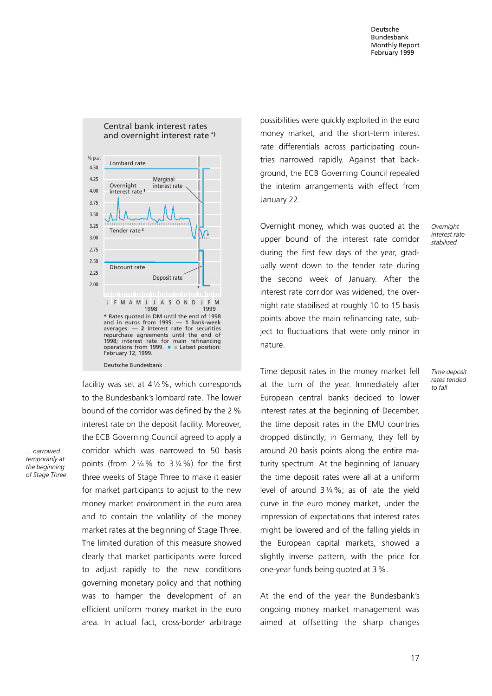

facility was set at  $4\frac{1}{2}\%$ , which corresponds to the Bundesbank's lombard rate. The lower bound of the corridor was defined by the 2% interest rate on the deposit facility. Moreover, the ECB Governing Council agreed to apply a corridor which was narrowed to 50 basis points (from  $2\frac{3}{4}\%$  to  $3\frac{1}{4}\%$ ) for the first three weeks of Stage Three to make it easier for market participants to adjust to the new money market environment in the euro area and to contain the volatility of the money market rates at the beginning of Stage Three. The limited duration of this measure showed clearly that market participants were forced to adjust rapidly to the new conditions governing monetary policy and that nothing was to hamper the development of an efficient uniform money market in the euro area. In actual fact, cross-border arbitrage

... narrowed temporarily at the beginning of Stage Three possibilities were quickly exploited in the euro money market, and the short-term interest rate differentials across participating countries narrowed rapidly. Against that background, the ECB Governing Council repealed the interim arrangements with effect from January 22.

Overnight money, which was quoted at the upper bound of the interest rate corridor during the first few days of the year, gradually went down to the tender rate during the second week of January. After the interest rate corridor was widened, the overnight rate stabilised at roughly 10 to 15 basis points above the main refinancing rate, subject to fluctuations that were only minor in nature.

> Time deposit rates tended to fall

**Overnight** interest rate stabilised

Time deposit rates in the money market fell at the turn of the year. Immediately after European central banks decided to lower interest rates at the beginning of December, the time deposit rates in the EMU countries dropped distinctly; in Germany, they fell by around 20 basis points along the entire maturity spectrum. At the beginning of January the time deposit rates were all at a uniform level of around  $3\frac{1}{4}\%$ ; as of late the yield curve in the euro money market, under the impression of expectations that interest rates might be lowered and of the falling yields in the European capital markets, showed a slightly inverse pattern, with the price for one-year funds being quoted at 3%.

At the end of the year the Bundesbank's ongoing money market management was aimed at offsetting the sharp changes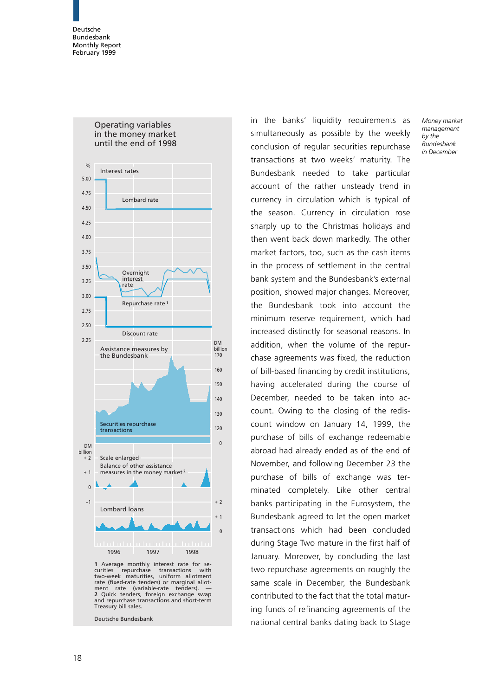

in the banks' liquidity requirements as simultaneously as possible by the weekly conclusion of regular securities repurchase transactions at two weeks' maturity. The Bundesbank needed to take particular account of the rather unsteady trend in currency in circulation which is typical of the season. Currency in circulation rose sharply up to the Christmas holidays and then went back down markedly. The other market factors, too, such as the cash items in the process of settlement in the central bank system and the Bundesbank's external position, showed major changes. Moreover, the Bundesbank took into account the minimum reserve requirement, which had increased distinctly for seasonal reasons. In addition, when the volume of the repurchase agreements was fixed, the reduction of bill-based financing by credit institutions, having accelerated during the course of December, needed to be taken into account. Owing to the closing of the rediscount window on January 14, 1999, the purchase of bills of exchange redeemable abroad had already ended as of the end of November, and following December 23 the purchase of bills of exchange was terminated completely. Like other central banks participating in the Eurosystem, the Bundesbank agreed to let the open market transactions which had been concluded during Stage Two mature in the first half of January. Moreover, by concluding the last two repurchase agreements on roughly the same scale in December, the Bundesbank contributed to the fact that the total maturing funds of refinancing agreements of the national central banks dating back to Stage Money market management by the Bundesbank in December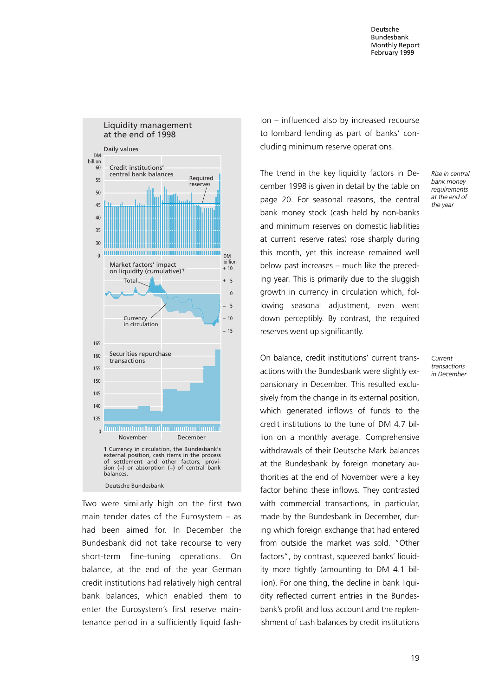

Two were similarly high on the first two main tender dates of the Eurosystem  $-$  as had been aimed for. In December the Bundesbank did not take recourse to very short-term fine-tuning operations. On balance, at the end of the year German credit institutions had relatively high central bank balances, which enabled them to enter the Eurosystem's first reserve maintenance period in a sufficiently liquid fash $ion - influenced also by increased recourse$ to lombard lending as part of banks' concluding minimum reserve operations.

The trend in the key liquidity factors in December 1998 is given in detail by the table on page 20. For seasonal reasons, the central bank money stock (cash held by non-banks and minimum reserves on domestic liabilities at current reserve rates) rose sharply during this month, yet this increase remained well below past increases - much like the preceding year. This is primarily due to the sluggish growth in currency in circulation which, following seasonal adjustment, even went down perceptibly. By contrast, the required reserves went up significantly.

On balance, credit institutions' current transactions with the Bundesbank were slightly expansionary in December. This resulted exclusively from the change in its external position, which generated inflows of funds to the credit institutions to the tune of DM 4.7 billion on a monthly average. Comprehensive withdrawals of their Deutsche Mark balances at the Bundesbank by foreign monetary authorities at the end of November were a key factor behind these inflows. They contrasted with commercial transactions, in particular, made by the Bundesbank in December, during which foreign exchange that had entered from outside the market was sold. "Other factors", by contrast, squeezed banks' liquidity more tightly (amounting to DM 4.1 billion). For one thing, the decline in bank liquidity reflected current entries in the Bundesbank's profit and loss account and the replenishment of cash balances by credit institutions Rise in central bank money requirements at the end of the year

Current transactions in December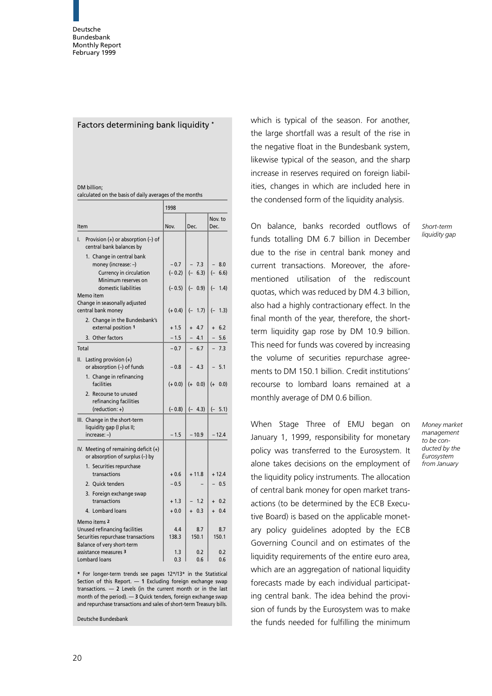#### Factors determining bank liquidity \*

#### DM billion;

calculated on the basis of daily averages of the months

|                                                                          | 1998               |                     |                       |
|--------------------------------------------------------------------------|--------------------|---------------------|-----------------------|
| Item                                                                     | Nov.               | Dec.                | Nov. to<br>Dec.       |
| Provision $(+)$ or absorption $(-)$ of<br>I.<br>central bank balances by |                    |                     |                       |
| 1. Change in central bank                                                |                    |                     |                       |
| money (increase: -)<br>Currency in circulation                           | $-0.7$<br>$(-0.2)$ | $-7.3$<br>$(- 6.3)$ | 8.0<br>$(-6.6)$       |
| Minimum reserves on                                                      |                    |                     |                       |
| domestic liabilities                                                     | $(-0.5)$           | $(- 0.9)$           | $(- 1.4)$             |
| Memo item<br>Change in seasonally adjusted                               |                    |                     |                       |
| central bank money                                                       | $(+ 0.4)$          | $(-)$<br>1.7)       | $(- 1.3)$             |
| 2. Change in the Bundesbank's                                            |                    |                     |                       |
| external position 1                                                      | $+1.5$             | $+ 4.7$             | 6.2<br>$+$            |
| 3. Other factors                                                         | $-1.5$             | 4.1                 | 5.6                   |
| Total                                                                    | $-0.7$             | $-6.7$              | 7.3<br>$\overline{a}$ |
| Lasting provision (+)<br>II.<br>or absorption (-) of funds               | $-0.8$             | 4.3                 | 5.1                   |
| 1. Change in refinancing<br>facilities                                   | $(+ 0.0)$          | $(+ 0.0)$           | $(+ 0.0)$             |
| 2. Recourse to unused<br>refinancing facilities<br>(reduction: +)        | $(-0.8)$           | $(-4.3)$            | $(- 5.1)$             |
| III. Change in the short-term                                            |                    |                     |                       |
| liquidity gap (I plus II;                                                |                    |                     |                       |
| increase: -)                                                             | $-1.5$             | $-10.9$             | $-12.4$               |
| IV. Meeting of remaining deficit (+)<br>or absorption of surplus (-) by  |                    |                     |                       |
| 1. Securities repurchase                                                 |                    |                     |                       |
| transactions                                                             | $+0.6$             | $+11.8$             | $+12.4$               |
| 2. Quick tenders                                                         | $-0.5$             |                     | $-0.5$                |
| 3. Foreign exchange swap<br>transactions                                 | $+1.3$             | 1.2                 | $+ 0.2$               |
| 4. Lombard loans                                                         | $+0.0$             | $+ 0.3$             | $+ 0.4$               |
| Memo items 2                                                             |                    |                     |                       |
| Unused refinancing facilities                                            | 4.4                | 8.7                 | 8.7                   |
| Securities repurchase transactions<br>Balance of very short-term         | 138.3              | 150.1               | 150.1                 |
| assistance measures 3                                                    | 1.3                | 0.2                 | 0.2                   |
| <b>Lombard loans</b>                                                     | 0.3                | 0.6                 | 0.6                   |

\* For longer-term trends see pages 12\*/13\* in the Statistical Section of this Report.  $-$  1 Excluding foreign exchange swap transactions.  $-2$  Levels (in the current month or in the last month of the period).  $-$  3 Quick tenders, foreign exchange swap and repurchase transactions and sales of short-term Treasury bills.

Deutsche Bundesbank

which is typical of the season. For another, the large shortfall was a result of the rise in the negative float in the Bundesbank system, likewise typical of the season, and the sharp increase in reserves required on foreign liabilities, changes in which are included here in the condensed form of the liquidity analysis.

On balance, banks recorded outflows of funds totalling DM 6.7 billion in December due to the rise in central bank money and current transactions. Moreover, the aforementioned utilisation of the rediscount quotas, which was reduced by DM 4.3 billion, also had a highly contractionary effect. In the final month of the year, therefore, the shortterm liquidity gap rose by DM 10.9 billion. This need for funds was covered by increasing the volume of securities repurchase agreements to DM 150.1 billion. Credit institutions' recourse to lombard loans remained at a monthly average of DM 0.6 billion.

When Stage Three of EMU began on January 1, 1999, responsibility for monetary policy was transferred to the Eurosystem. It alone takes decisions on the employment of the liquidity policy instruments. The allocation of central bank money for open market transactions (to be determined by the ECB Executive Board) is based on the applicable monetary policy guidelines adopted by the ECB Governing Council and on estimates of the liquidity requirements of the entire euro area, which are an aggregation of national liquidity forecasts made by each individual participating central bank. The idea behind the provision of funds by the Eurosystem was to make the funds needed for fulfilling the minimum

Short-term liquidity gap

Money market management to be conducted by the Eurosystem from January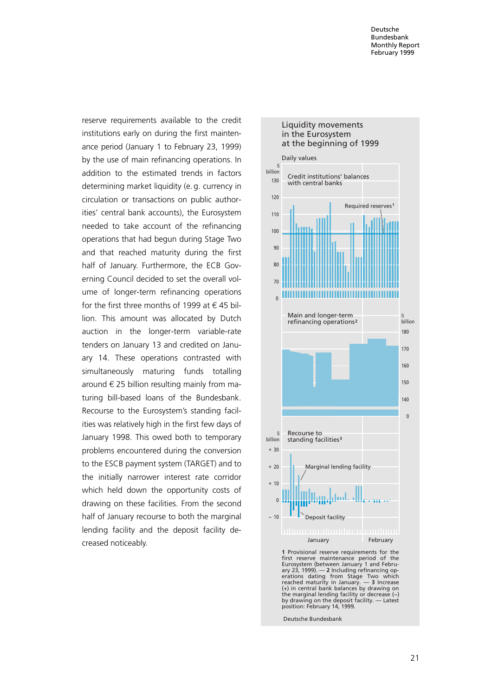reserve requirements available to the credit institutions early on during the first maintenance period (January 1 to February 23, 1999) by the use of main refinancing operations. In addition to the estimated trends in factors determining market liquidity (e. g. currency in circulation or transactions on public authorities' central bank accounts), the Eurosystem needed to take account of the refinancing operations that had begun during Stage Two and that reached maturity during the first half of January. Furthermore, the ECB Governing Council decided to set the overall volume of longer-term refinancing operations for the first three months of 1999 at  $\epsilon$  45 billion. This amount was allocated by Dutch auction in the longer-term variable-rate tenders on January 13 and credited on January 14. These operations contrasted with simultaneously maturing funds totalling around  $\epsilon$  25 billion resulting mainly from maturing bill-based loans of the Bundesbank. Recourse to the Eurosystem's standing facilities was relatively high in the first few days of January 1998. This owed both to temporary problems encountered during the conversion to the ESCB payment system (TARGET) and to the initially narrower interest rate corridor which held down the opportunity costs of drawing on these facilities. From the second half of January recourse to both the marginal lending facility and the deposit facility decreased noticeably.



Liquidity movements

**1** Provisional reserve requirements for the first reserve maintenance period of the Eurosystem (between January 1 and February 23, 1999). — **2** Including refinancing op-erations dating from Stage Two which reached maturity in January. — **3** Increase (+) in central bank balances by drawing on the marginal lending facility or decrease (−) by drawing on the deposit facility. — Latest position: February 14, 1999.

Deutsche Bundesbank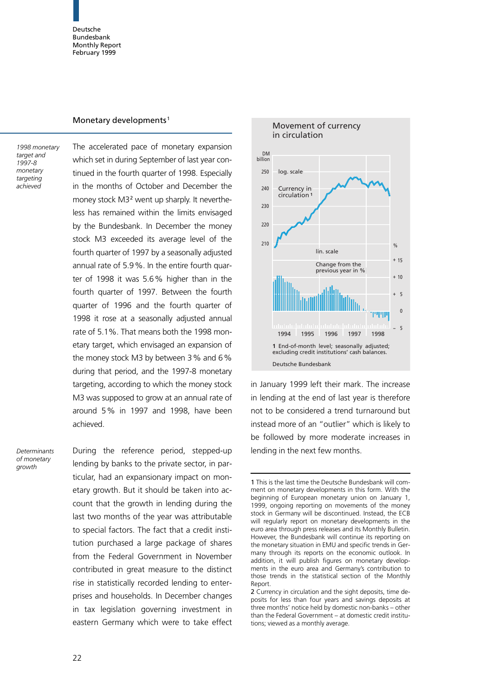#### Monetary developments<sup>1</sup>

1998 monetary target and 1997-8 monetary targeting achieved

The accelerated pace of monetary expansion which set in during September of last year continued in the fourth quarter of 1998. Especially in the months of October and December the money stock M3<sup>2</sup> went up sharply. It nevertheless has remained within the limits envisaged by the Bundesbank. In December the money stock M3 exceeded its average level of the fourth quarter of 1997 by a seasonally adjusted annual rate of 5.9%. In the entire fourth quarter of 1998 it was 5.6% higher than in the fourth quarter of 1997. Between the fourth quarter of 1996 and the fourth quarter of 1998 it rose at a seasonally adjusted annual rate of 5.1%. That means both the 1998 monetary target, which envisaged an expansion of the money stock M3 by between 3% and 6% during that period, and the 1997-8 monetary targeting, according to which the money stock M3 was supposed to grow at an annual rate of around 5% in 1997 and 1998, have been achieved.

**Determinants** of monetary growth

During the reference period, stepped-up lending by banks to the private sector, in particular, had an expansionary impact on monetary growth. But it should be taken into account that the growth in lending during the last two months of the year was attributable to special factors. The fact that a credit institution purchased a large package of shares from the Federal Government in November contributed in great measure to the distinct rise in statistically recorded lending to enterprises and households. In December changes in tax legislation governing investment in eastern Germany which were to take effect



in January 1999 left their mark. The increase in lending at the end of last year is therefore not to be considered a trend turnaround but instead more of an "outlier" which is likely to be followed by more moderate increases in lending in the next few months.

<sup>1</sup> This is the last time the Deutsche Bundesbank will comment on monetary developments in this form. With the beginning of European monetary union on January 1, 1999, ongoing reporting on movements of the money stock in Germany will be discontinued. Instead, the ECB will regularly report on monetary developments in the euro area through press releases and its Monthly Bulletin. However, the Bundesbank will continue its reporting on the monetary situation in EMU and specific trends in Germany through its reports on the economic outlook. In addition, it will publish figures on monetary developments in the euro area and Germany's contribution to those trends in the statistical section of the Monthly Report.

<sup>2</sup> Currency in circulation and the sight deposits, time deposits for less than four years and savings deposits at three months' notice held by domestic non-banks - other than the Federal Government - at domestic credit institutions; viewed as a monthly average.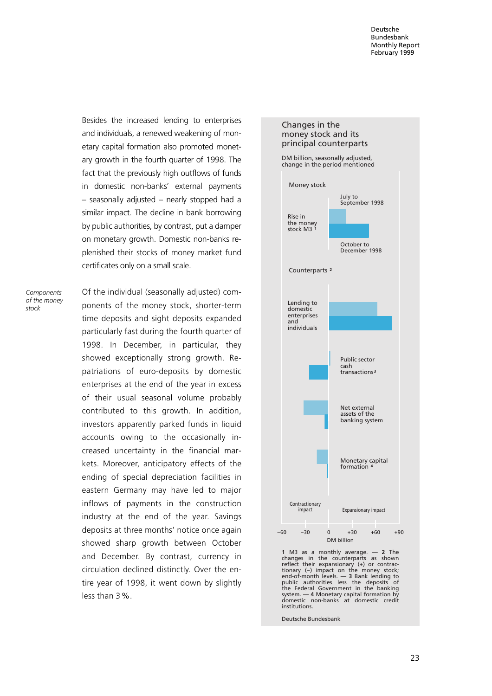Besides the increased lending to enterprises and individuals, a renewed weakening of monetary capital formation also promoted monetary growth in the fourth quarter of 1998. The fact that the previously high outflows of funds in domestic non-banks' external payments  $-$  seasonally adjusted  $-$  nearly stopped had a similar impact. The decline in bank borrowing by public authorities, by contrast, put a damper on monetary growth. Domestic non-banks replenished their stocks of money market fund certificates only on a small scale.

**Components** of the money stock

Of the individual (seasonally adjusted) components of the money stock, shorter-term time deposits and sight deposits expanded particularly fast during the fourth quarter of 1998. In December, in particular, they showed exceptionally strong growth. Repatriations of euro-deposits by domestic enterprises at the end of the year in excess of their usual seasonal volume probably contributed to this growth. In addition, investors apparently parked funds in liquid accounts owing to the occasionally increased uncertainty in the financial markets. Moreover, anticipatory effects of the ending of special depreciation facilities in eastern Germany may have led to major inflows of payments in the construction industry at the end of the year. Savings deposits at three months' notice once again showed sharp growth between October and December. By contrast, currency in circulation declined distinctly. Over the entire year of 1998, it went down by slightly less than 3%.

## DM billion, seasonally adjusted, change in the period mentioned Counterparts **<sup>2</sup>** Lending to domestic enterprises and individuals Public sector cash transactions**<sup>3</sup>** Money stock Rise in the money stock M3 **<sup>1</sup>** July to September 1998 October to ecember 1998<br>ecember 1998 Changes in the money stock and its principal counterparts



**1** M3 as a monthly average. — **2** The changes in the counterparts as shown reflect their expansionary (+) or contrac-tionary (−) impact on the money stock; end-of-month levels. — **3** Bank lending to public authorities less the deposits of the Federal Government in the banking system. — **4** Monetary capital formation by domestic non-banks at domestic credit institutions.

DM billion

Deutsche Bundesbank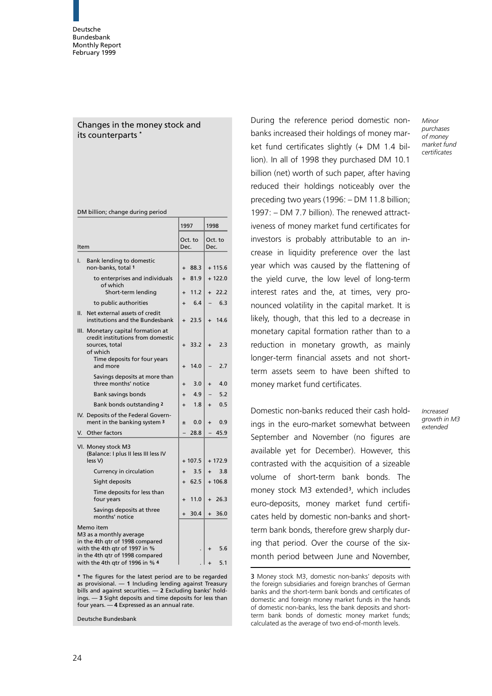### Changes in the money stock and its counterparts \*

|                                                                                                                                       | 1997      |          | 1998      |          |
|---------------------------------------------------------------------------------------------------------------------------------------|-----------|----------|-----------|----------|
| Item                                                                                                                                  | Dec.      | Oct. to  | Dec.      | Oct. to  |
| Bank lending to domestic<br>ı.<br>non-banks, total 1                                                                                  | $\ddot{}$ | 88.3     |           | $+115.6$ |
| to enterprises and individuals<br>of which                                                                                            | $\ddot{}$ | 81.9     |           | $+122.0$ |
| Short-term lending                                                                                                                    | $\ddot{}$ | 11.2     | $\ddot{}$ | 22.2     |
| to public authorities                                                                                                                 | $\ddot{}$ | 6.4      |           | 6.3      |
| Net external assets of credit<br>Ш.<br>institutions and the Bundesbank                                                                | $+$       | 23.5     | $+$       | 14.6     |
| III. Monetary capital formation at<br>credit institutions from domestic<br>sources, total<br>of which<br>Time deposits for four years | $\ddot{}$ | 33.2     | $+$       | 2.3      |
| and more                                                                                                                              | $\ddot{}$ | 14.0     |           | 2.7      |
| Savings deposits at more than<br>three months' notice                                                                                 | $\ddot{}$ | 3.0      | $\ddot{}$ | 4.0      |
| <b>Bank savings bonds</b>                                                                                                             | $\ddot{}$ | 4.9      |           | 5.2      |
| Bank bonds outstanding 2                                                                                                              | $\ddot{}$ | 1.8      | $\ddot{}$ | 0.5      |
| IV. Deposits of the Federal Govern-<br>ment in the banking system 3                                                                   | ±.        | 0.0      | $\ddot{}$ | 0.9      |
| V. Other factors                                                                                                                      |           | 28.8     |           | 45.9     |
| VI. Money stock M3<br>(Balance: I plus II less III less IV<br>less V)                                                                 |           | $+107.5$ |           | $+172.9$ |
| Currency in circulation                                                                                                               | $\ddot{}$ | 3.5      | $\ddot{}$ | 3.8      |
| Sight deposits                                                                                                                        | $+$       | 62.5     |           | $+106.8$ |
| Time deposits for less than<br>four years                                                                                             | $\ddot{}$ | 11.0     | $\ddot{}$ | 26.3     |
| Savings deposits at three<br>months' notice                                                                                           | $+$       | 30.4     | $+$       | 36.0     |
| Memo item<br>M3 as a monthly average<br>in the 4th gtr of 1998 compared<br>with the 4th qtr of 1997 in %                              |           |          |           | 5.6      |
| in the 4th qtr of 1998 compared<br>with the 4th qtr of 1996 in % 4                                                                    |           |          |           | 5.1      |

\* The figures for the latest period are to be regarded as provisional.  $-$  1 Including lending against Treasury bills and against securities.  $-$  2 Excluding banks' holdings.  $-$  3 Sight deposits and time deposits for less than four years.  $-4$  Expressed as an annual rate.

Deutsche Bundesbank

During the reference period domestic nonbanks increased their holdings of money market fund certificates slightly (+ DM 1.4 billion). In all of 1998 they purchased DM 10.1 billion (net) worth of such paper, after having reduced their holdings noticeably over the preceding two years  $(1996: - DM 11.8$  billion; 1997: - DM 7.7 billion). The renewed attractiveness of money market fund certificates for investors is probably attributable to an increase in liquidity preference over the last year which was caused by the flattening of the yield curve, the low level of long-term interest rates and the, at times, very pronounced volatility in the capital market. It is likely, though, that this led to a decrease in monetary capital formation rather than to a reduction in monetary growth, as mainly longer-term financial assets and not shortterm assets seem to have been shifted to money market fund certificates.

Domestic non-banks reduced their cash holdings in the euro-market somewhat between September and November (no figures are available yet for December). However, this contrasted with the acquisition of a sizeable volume of short-term bank bonds. The money stock M3 extended<sup>3</sup>, which includes euro-deposits, money market fund certificates held by domestic non-banks and shortterm bank bonds, therefore grew sharply during that period. Over the course of the sixmonth period between June and November,

Increased growth in M3 extended

<sup>3</sup> Money stock M3, domestic non-banks' deposits with the foreign subsidiaries and foreign branches of German banks and the short-term bank bonds and certificates of domestic and foreign money market funds in the hands of domestic non-banks, less the bank deposits and shortterm bank bonds of domestic money market funds; calculated as the average of two end-of-month levels.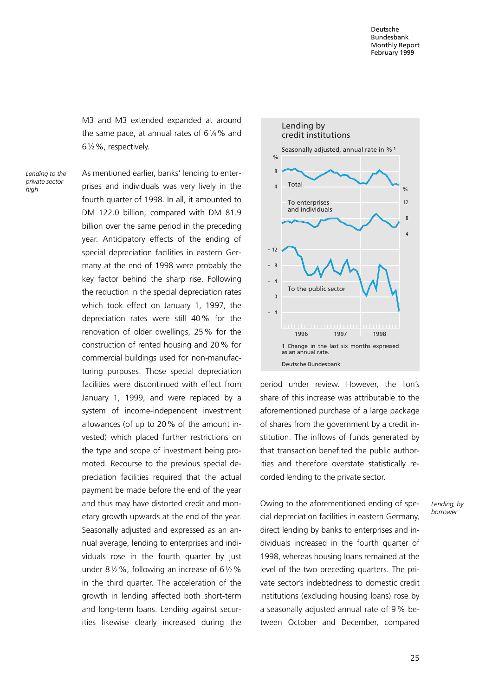M3 and M3 extended expanded at around the same pace, at annual rates of  $6\frac{1}{4}\%$  and 612%, respectively.

Lending to the private sector high

As mentioned earlier, banks' lending to enterprises and individuals was very lively in the fourth quarter of 1998. In all, it amounted to DM 122.0 billion, compared with DM 81.9 billion over the same period in the preceding year. Anticipatory effects of the ending of special depreciation facilities in eastern Germany at the end of 1998 were probably the key factor behind the sharp rise. Following the reduction in the special depreciation rates which took effect on January 1, 1997, the depreciation rates were still 40% for the renovation of older dwellings, 25% for the construction of rented housing and 20% for commercial buildings used for non-manufacturing purposes. Those special depreciation facilities were discontinued with effect from January 1, 1999, and were replaced by a system of income-independent investment allowances (of up to 20% of the amount invested) which placed further restrictions on the type and scope of investment being promoted. Recourse to the previous special depreciation facilities required that the actual payment be made before the end of the year and thus may have distorted credit and monetary growth upwards at the end of the year. Seasonally adjusted and expressed as an annual average, lending to enterprises and individuals rose in the fourth quarter by just under 8 $1/2$ %, following an increase of 6 $1/2$ % in the third quarter. The acceleration of the growth in lending affected both short-term and long-term loans. Lending against securities likewise clearly increased during the



period under review. However, the lion's share of this increase was attributable to the aforementioned purchase of a large package of shares from the government by a credit institution. The inflows of funds generated by that transaction benefited the public authorities and therefore overstate statistically recorded lending to the private sector.

Owing to the aforementioned ending of special depreciation facilities in eastern Germany, direct lending by banks to enterprises and individuals increased in the fourth quarter of 1998, whereas housing loans remained at the level of the two preceding quarters. The private sector's indebtedness to domestic credit institutions (excluding housing loans) rose by a seasonally adjusted annual rate of 9% between October and December, compared Lending, by borrower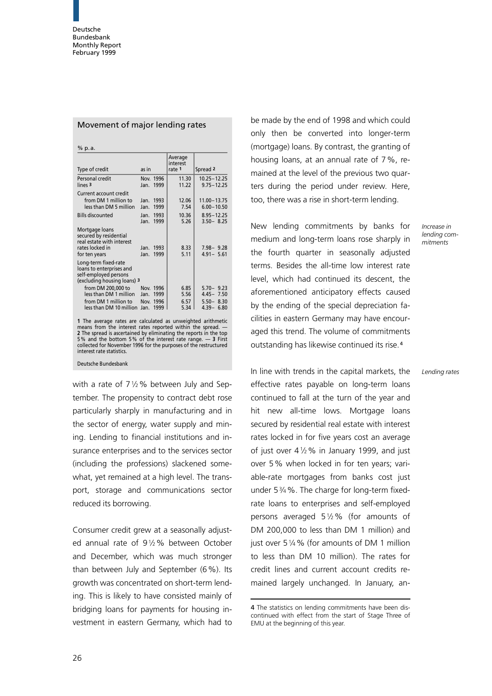| Type of credit                                                                                            | as in                        |                              | Average<br>interest<br>rate 1  | Spread <sub>2</sub>                                                  |
|-----------------------------------------------------------------------------------------------------------|------------------------------|------------------------------|--------------------------------|----------------------------------------------------------------------|
| Personal credit<br>lines <sub>3</sub>                                                                     | Jan.                         | Nov. 1996<br>1999            | 11.30<br>11.22                 | $10.25 - 12.25$<br>$9.75 - 12.25$                                    |
| Current account credit<br>from DM 1 million to<br>less than DM 5 million<br><b>Bills discounted</b>       | Jan.<br>Jan.<br>Jan.<br>Jan. | 1993<br>1999<br>1993<br>1999 | 12.06<br>7.54<br>10.36<br>5.26 | $11.00 - 13.75$<br>$6.00 - 10.50$<br>$8.95 - 12.25$<br>$3.50 - 8.25$ |
| Mortgage loans<br>secured by residential<br>real estate with interest<br>rates locked in<br>for ten years | Jan.<br>Jan.                 | 1993<br>1999                 | 8.33<br>5.11                   | $7.98 - 9.28$<br>$4.91 - 5.61$                                       |
| Long-term fixed-rate<br>loans to enterprises and<br>self-employed persons<br>(excluding housing loans) 3  |                              |                              |                                |                                                                      |
| from DM 200,000 to                                                                                        |                              | Nov. 1996                    | 6.85                           | $5.70 - 9.23$                                                        |
| less than DM 1 million<br>from DM 1 million to<br>less than DM 10 million                                 | Jan.<br>Nov.<br>Jan.         | 1999<br>1996<br>1999         | 5.56<br>6.57<br>5.34           | $4.45 - 7.50$<br>$5.50 - 8.30$<br>$4.39 - 6.80$                      |

Movement of major lending rates

means from the interest rates reported within the spread. —<br>**2** The spread is ascertained by eliminating the reports in the top<br>5% and the bottom 5% of the interest rate range. — **3** First collected for November 1996 for the purposes of the restructured interest rate statistics.

Deutsche Bundesbank

with a rate of  $7\frac{1}{2}\%$  between July and September. The propensity to contract debt rose particularly sharply in manufacturing and in the sector of energy, water supply and mining. Lending to financial institutions and insurance enterprises and to the services sector (including the professions) slackened somewhat, yet remained at a high level. The transport, storage and communications sector reduced its borrowing.

Consumer credit grew at a seasonally adjusted annual rate of 912% between October and December, which was much stronger than between July and September (6%). Its growth was concentrated on short-term lending. This is likely to have consisted mainly of bridging loans for payments for housing investment in eastern Germany, which had to

be made by the end of 1998 and which could only then be converted into longer-term (mortgage) loans. By contrast, the granting of housing loans, at an annual rate of 7%, remained at the level of the previous two quarters during the period under review. Here, too, there was a rise in short-term lending.

New lending commitments by banks for medium and long-term loans rose sharply in the fourth quarter in seasonally adjusted terms. Besides the all-time low interest rate level, which had continued its descent, the aforementioned anticipatory effects caused by the ending of the special depreciation facilities in eastern Germany may have encouraged this trend. The volume of commitments outstanding has likewise continued its rise.<sup>4</sup>

In line with trends in the capital markets, the effective rates payable on long-term loans continued to fall at the turn of the year and hit new all-time lows. Mortgage loans secured by residential real estate with interest rates locked in for five years cost an average of just over  $4\frac{1}{2}\%$  in January 1999, and just over 5% when locked in for ten years; variable-rate mortgages from banks cost just under 534%. The charge for long-term fixedrate loans to enterprises and self-employed persons averaged 512% (for amounts of DM 200,000 to less than DM 1 million) and just over 5 1/4 % (for amounts of DM 1 million to less than DM 10 million). The rates for credit lines and current account credits remained largely unchanged. In January, an-

Lending rates

Increase in lending commitments

<sup>4</sup> The statistics on lending commitments have been discontinued with effect from the start of Stage Three of EMU at the beginning of this year.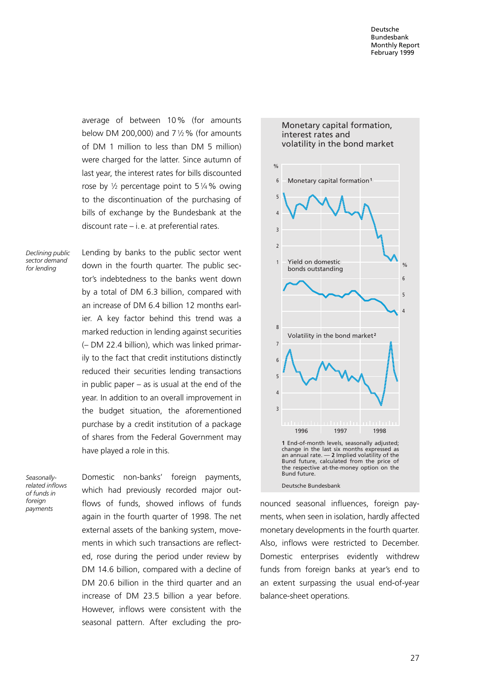average of between 10% (for amounts below DM 200,000) and  $7\frac{1}{2}\%$  (for amounts of DM 1 million to less than DM 5 million) were charged for the latter. Since autumn of last year, the interest rates for bills discounted rose by  $\frac{1}{2}$  percentage point to 5 $\frac{1}{4}$ % owing to the discontinuation of the purchasing of bills of exchange by the Bundesbank at the discount rate  $-$  i. e. at preferential rates.

Declining public sector demand for lending

Lending by banks to the public sector went down in the fourth quarter. The public sector's indebtedness to the banks went down by a total of DM 6.3 billion, compared with an increase of DM 6.4 billion 12 months earlier. A key factor behind this trend was a marked reduction in lending against securities (- DM 22.4 billion), which was linked primarily to the fact that credit institutions distinctly reduced their securities lending transactions in public paper  $-$  as is usual at the end of the year. In addition to an overall improvement in the budget situation, the aforementioned purchase by a credit institution of a package of shares from the Federal Government may have played a role in this.

Seasonallyrelated inflows of funds in foreign payments

Domestic non-banks' foreign payments, which had previously recorded major outflows of funds, showed inflows of funds again in the fourth quarter of 1998. The net external assets of the banking system, movements in which such transactions are reflected, rose during the period under review by DM 14.6 billion, compared with a decline of DM 20.6 billion in the third quarter and an increase of DM 23.5 billion a year before. However, inflows were consistent with the seasonal pattern. After excluding the pro-



Monetary capital formation,

Deutsche Bundesbank

nounced seasonal influences, foreign payments, when seen in isolation, hardly affected monetary developments in the fourth quarter. Also, inflows were restricted to December. Domestic enterprises evidently withdrew funds from foreign banks at year's end to an extent surpassing the usual end-of-year balance-sheet operations.